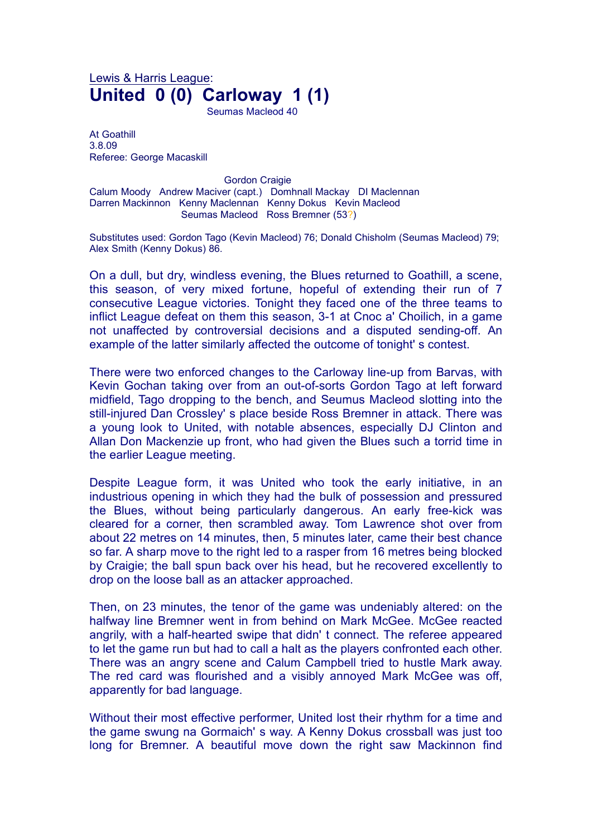## Lewis & Harris League: **United 0 (0) Carloway 1 (1)**

Seumas Macleod 40

At Goathill 3.8.09 Referee: George Macaskill

**Gordon Craigie** Calum Moody Andrew Maciver (capt.) Domhnall Mackay DI Maclennan Darren Mackinnon Kenny Maclennan Kenny Dokus Kevin Macleod Seumas Macleod Ross Bremner (53?)

Substitutes used: Gordon Tago (Kevin Macleod) 76; Donald Chisholm (Seumas Macleod) 79; Alex Smith (Kenny Dokus) 86.

On a dull, but dry, windless evening, the Blues returned to Goathill, a scene, this season, of very mixed fortune, hopeful of extending their run of 7 consecutive League victories. Tonight they faced one of the three teams to inflict League defeat on them this season, 3-1 at Cnoc a' Choilich, in a game not unaffected by controversial decisions and a disputed sending-off. An example of the latter similarly affected the outcome of tonight' s contest.

There were two enforced changes to the Carloway line-up from Barvas, with Kevin Gochan taking over from an out-of-sorts Gordon Tago at left forward midfield, Tago dropping to the bench, and Seumus Macleod slotting into the still-injured Dan Crossley' s place beside Ross Bremner in attack. There was a young look to United, with notable absences, especially DJ Clinton and Allan Don Mackenzie up front, who had given the Blues such a torrid time in the earlier League meeting.

Despite League form, it was United who took the early initiative, in an industrious opening in which they had the bulk of possession and pressured the Blues, without being particularly dangerous. An early free-kick was cleared for a corner, then scrambled away. Tom Lawrence shot over from about 22 metres on 14 minutes, then, 5 minutes later, came their best chance so far. A sharp move to the right led to a rasper from 16 metres being blocked by Craigie; the ball spun back over his head, but he recovered excellently to drop on the loose ball as an attacker approached.

Then, on 23 minutes, the tenor of the game was undeniably altered: on the halfway line Bremner went in from behind on Mark McGee. McGee reacted angrily, with a half-hearted swipe that didn' t connect. The referee appeared to let the game run but had to call a halt as the players confronted each other. There was an angry scene and Calum Campbell tried to hustle Mark away. The red card was flourished and a visibly annoyed Mark McGee was off, apparently for bad language.

Without their most effective performer, United lost their rhythm for a time and the game swung na Gormaich' s way. A Kenny Dokus crossball was just too long for Bremner. A beautiful move down the right saw Mackinnon find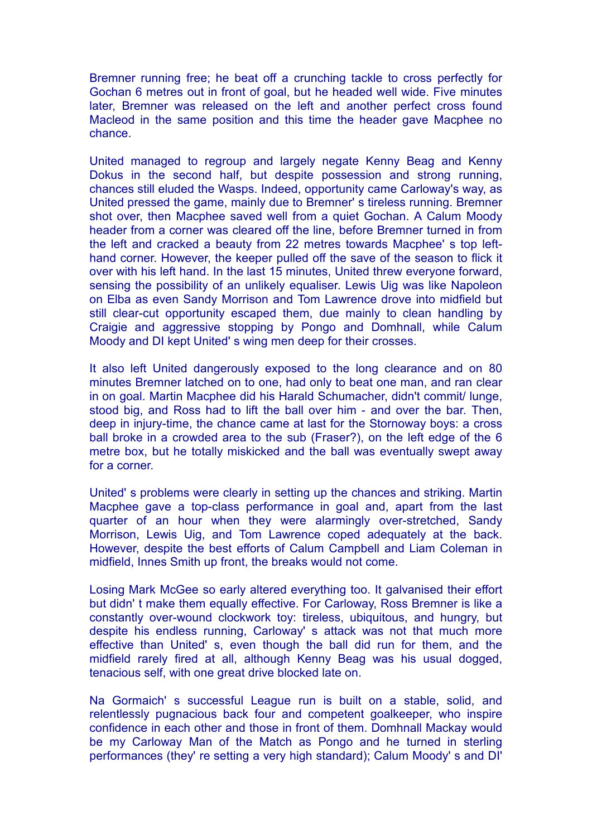Bremner running free; he beat off a crunching tackle to cross perfectly for Gochan 6 metres out in front of goal, but he headed well wide. Five minutes later, Bremner was released on the left and another perfect cross found Macleod in the same position and this time the header gave Macphee no chance.

United managed to regroup and largely negate Kenny Beag and Kenny Dokus in the second half, but despite possession and strong running, chances still eluded the Wasps. Indeed, opportunity came Carloway's way, as United pressed the game, mainly due to Bremner' s tireless running. Bremner shot over, then Macphee saved well from a quiet Gochan. A Calum Moody header from a corner was cleared off the line, before Bremner turned in from the left and cracked a beauty from 22 metres towards Macphee' s top lefthand corner. However, the keeper pulled off the save of the season to flick it over with his left hand. In the last 15 minutes, United threw everyone forward, sensing the possibility of an unlikely equaliser. Lewis Uig was like Napoleon on Elba as even Sandy Morrison and Tom Lawrence drove into midfield but still clear-cut opportunity escaped them, due mainly to clean handling by Craigie and aggressive stopping by Pongo and Domhnall, while Calum Moody and DI kept United' s wing men deep for their crosses.

It also left United dangerously exposed to the long clearance and on 80 minutes Bremner latched on to one, had only to beat one man, and ran clear in on goal. Martin Macphee did his Harald Schumacher, didn't commit/ lunge, stood big, and Ross had to lift the ball over him - and over the bar. Then, deep in injury-time, the chance came at last for the Stornoway boys: a cross ball broke in a crowded area to the sub (Fraser?), on the left edge of the 6 metre box, but he totally miskicked and the ball was eventually swept away for a corner.

United' s problems were clearly in setting up the chances and striking. Martin Macphee gave a top-class performance in goal and, apart from the last quarter of an hour when they were alarmingly over-stretched, Sandy Morrison, Lewis Uig, and Tom Lawrence coped adequately at the back. However, despite the best efforts of Calum Campbell and Liam Coleman in midfield, Innes Smith up front, the breaks would not come.

Losing Mark McGee so early altered everything too. It galvanised their effort but didn' t make them equally effective. For Carloway, Ross Bremner is like a constantly over-wound clockwork toy: tireless, ubiquitous, and hungry, but despite his endless running, Carloway' s attack was not that much more effective than United' s, even though the ball did run for them, and the midfield rarely fired at all, although Kenny Beag was his usual dogged, tenacious self, with one great drive blocked late on.

Na Gormaich' s successful League run is built on a stable, solid, and relentlessly pugnacious back four and competent goalkeeper, who inspire confidence in each other and those in front of them. Domhnall Mackay would be my Carloway Man of the Match as Pongo and he turned in sterling performances (they' re setting a very high standard); Calum Moody' s and DI'